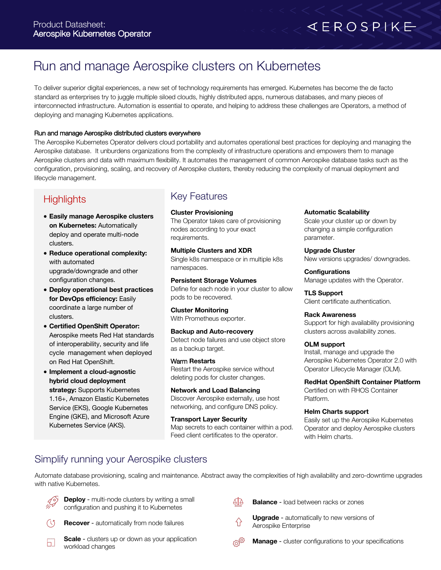# $AEROSPIKE$

## Run and manage Aerospike clusters on Kubernetes

To deliver superior digital experiences, a new set of technology requirements has emerged. Kubernetes has become the de facto standard as enterprises try to juggle multiple siloed clouds, highly distributed apps, numerous databases, and many pieces of interconnected infrastructure. Automation is essential to operate, and helping to address these challenges are Operators, a method of deploying and managing Kubernetes applications.

#### Run and manage Aerospike distributed clusters everywhere

The Aerospike Kubernetes Operator delivers cloud portability and automates operational best practices for deploying and managing the Aerospike database. It unburdens organizations from the complexity of infrastructure operations and empowers them to manage Aerospike clusters and data with maximum flexibility. It automates the management of common Aerospike database tasks such as the configuration, provisioning, scaling, and recovery of Aerospike clusters, thereby reducing the complexity of manual deployment and lifecycle management.

### **Highlights**

- **Easily manage Aerospike clusters on Kubernetes:** Automatically deploy and operate multi-node clusters.
- **Reduce operational complexity:** with automated upgrade/downgrade and other configuration changes.
- **Deploy operational best practices for DevOps efficiency:** Easily coordinate a large number of clusters.
- **Certified OpenShift Operator:** Aerospike meets Red Hat standards of interoperability, security and life cycle management when deployed on Red Hat OpenShift.
- **Implement a cloud-agnostic hybrid cloud deployment strategy:** Supports Kubernetes 1.16+, Amazon Elastic Kubernetes Service (EKS), Google Kubernetes Engine (GKE), and Microsoft Azure Kubernetes Service (AKS).

#### Key Features

**Cluster Provisioning** The Operator takes care of provisioning nodes according to your exact requirements.

**Multiple Clusters and XDR** Single k8s namespace or in multiple k8s namespaces.

**Persistent Storage Volumes** Define for each node in your cluster to allow pods to be recovered.

**Cluster Monitoring** With Prometheus exporter.

**Backup and Auto-recovery** Detect node failures and use object store as a backup target.

Warm **Restarts** Restart the Aerospike service without deleting pods for cluster changes.

**Network and Load Balancing** Discover Aerospike externally, use host networking, and configure DNS policy.

**Transport Layer Security** Map secrets to each container within a pod. Feed client certificates to the operator.

**Automatic Scalability**

Scale your cluster up or down by changing a simple configuration parameter.

**Upgrade Cluster** New versions upgrades/ downgrades.

**Configurations** Manage updates with the Operator.

**TLS Support** Client certificate authentication.

**Rack Awareness** Support for high availability provisioning clusters across availability zones.

#### **OLM support**

Install, manage and upgrade the Aerospike Kubernetes Operator 2.0 with Operator Lifecycle Manager (OLM).

**RedHat OpenShift Container Platform** Certified on with RHOS Container Platform.

**Helm Charts support**

Easily set up the Aerospike Kubernetes Operator and deploy Aerospike clusters with Helm charts.

### Simplify running your Aerospike clusters

Automate database provisioning, scaling and maintenance. Abstract away the complexities of high availability and zero-downtime upgrades with native Kubernetes.



لظ

**Deploy** - multi-node clusters by writing a small configuration and pushing it to Kubernetes

**Recover** - automatically from node failures  $(15)$ 

**Scale** - clusters up or down as your application workload changes

- ∆ ∆ **Balance** - load between racks or zones
	- **Upgrade** automatically to new versions of Aerospike Enterprise

ල්ගු **Manage** - cluster configurations to your specifications